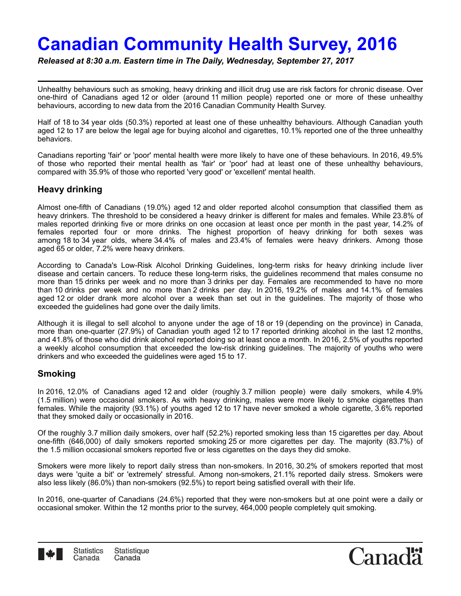# **Canadian Community Health Survey, 2016**

*Released at 8:30 a.m. Eastern time in The Daily, Wednesday, September 27, 2017*

Unhealthy behaviours such as smoking, heavy drinking and illicit drug use are risk factors for chronic disease. Over one-third of Canadians aged 12 or older (around 11 million people) reported one or more of these unhealthy behaviours, according to new data from the 2016 Canadian Community Health Survey.

Half of 18 to 34 year olds (50.3%) reported at least one of these unhealthy behaviours. Although Canadian youth aged 12 to 17 are below the legal age for buying alcohol and cigarettes, 10.1% reported one of the three unhealthy behaviors.

Canadians reporting 'fair' or 'poor' mental health were more likely to have one of these behaviours. In 2016, 49.5% of those who reported their mental health as 'fair' or 'poor' had at least one of these unhealthy behaviours, compared with 35.9% of those who reported 'very good' or 'excellent' mental health.

# **Heavy drinking**

Almost one-fifth of Canadians (19.0%) aged 12 and older reported alcohol consumption that classified them as heavy drinkers. The threshold to be considered a heavy drinker is different for males and females. While 23.8% of males reported drinking five or more drinks on one occasion at least once per month in the past year, 14.2% of females reported four or more drinks. The highest proportion of heavy drinking for both sexes was among 18 to 34 year olds, where 34.4% of males and 23.4% of females were heavy drinkers. Among those aged 65 or older, 7.2% were heavy drinkers.

According to Canada's Low-Risk Alcohol Drinking Guidelines, long-term risks for heavy drinking include liver disease and certain cancers. To reduce these long-term risks, the guidelines recommend that males consume no more than 15 drinks per week and no more than 3 drinks per day. Females are recommended to have no more than 10 drinks per week and no more than 2 drinks per day. In 2016, 19.2% of males and 14.1% of females aged 12 or older drank more alcohol over a week than set out in the guidelines. The majority of those who exceeded the guidelines had gone over the daily limits.

Although it is illegal to sell alcohol to anyone under the age of 18 or 19 (depending on the province) in Canada, more than one-quarter (27.9%) of Canadian youth aged 12 to 17 reported drinking alcohol in the last 12 months, and 41.8% of those who did drink alcohol reported doing so at least once a month. In 2016, 2.5% of youths reported a weekly alcohol consumption that exceeded the low-risk drinking guidelines. The majority of youths who were drinkers and who exceeded the guidelines were aged 15 to 17.

## **Smoking**

In 2016, 12.0% of Canadians aged 12 and older (roughly 3.7 million people) were daily smokers, while 4.9% (1.5 million) were occasional smokers. As with heavy drinking, males were more likely to smoke cigarettes than females. While the majority (93.1%) of youths aged 12 to 17 have never smoked a whole cigarette, 3.6% reported that they smoked daily or occasionally in 2016.

Of the roughly 3.7 million daily smokers, over half (52.2%) reported smoking less than 15 cigarettes per day. About one-fifth (646,000) of daily smokers reported smoking 25 or more cigarettes per day. The majority (83.7%) of the 1.5 million occasional smokers reported five or less cigarettes on the days they did smoke.

Smokers were more likely to report daily stress than non-smokers. In 2016, 30.2% of smokers reported that most days were 'quite a bit' or 'extremely' stressful. Among non-smokers, 21.1% reported daily stress. Smokers were also less likely (86.0%) than non-smokers (92.5%) to report being satisfied overall with their life.

In 2016, one-quarter of Canadians (24.6%) reported that they were non-smokers but at one point were a daily or occasional smoker. Within the 12 months prior to the survey, 464,000 people completely quit smoking.



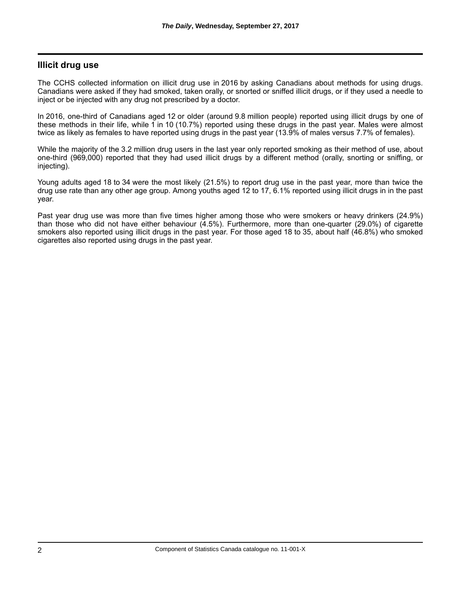## **Illicit drug use**

The CCHS collected information on illicit drug use in 2016 by asking Canadians about methods for using drugs. Canadians were asked if they had smoked, taken orally, or snorted or sniffed illicit drugs, or if they used a needle to inject or be injected with any drug not prescribed by a doctor.

In 2016, one-third of Canadians aged 12 or older (around 9.8 million people) reported using illicit drugs by one of these methods in their life, while 1 in 10 (10.7%) reported using these drugs in the past year. Males were almost twice as likely as females to have reported using drugs in the past year (13.9% of males versus 7.7% of females).

While the majority of the 3.2 million drug users in the last year only reported smoking as their method of use, about one-third (969,000) reported that they had used illicit drugs by a different method (orally, snorting or sniffing, or injecting).

Young adults aged 18 to 34 were the most likely (21.5%) to report drug use in the past year, more than twice the drug use rate than any other age group. Among youths aged 12 to 17, 6.1% reported using illicit drugs in in the past year.

Past year drug use was more than five times higher among those who were smokers or heavy drinkers (24.9%) than those who did not have either behaviour (4.5%). Furthermore, more than one-quarter (29.0%) of cigarette smokers also reported using illicit drugs in the past year. For those aged 18 to 35, about half (46.8%) who smoked cigarettes also reported using drugs in the past year.